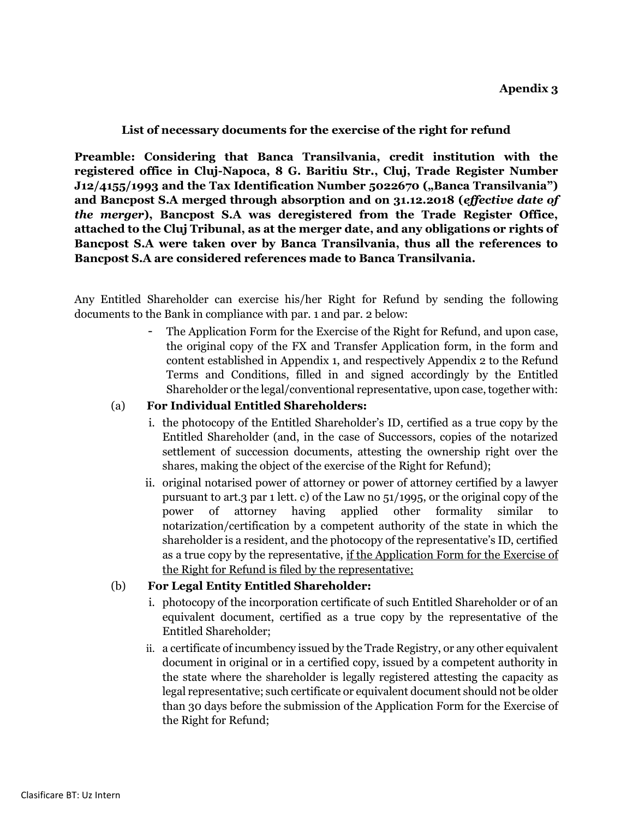## **List of necessary documents for the exercise of the right for refund**

**Preamble: Considering that Banca Transilvania, credit institution with the registered office in Cluj-Napoca, 8 G. Baritiu Str., Cluj, Trade Register Number J12/4155/1993 and the Tax Identification Number 5022670 ("Banca Transilvania") and Bancpost S.A merged through absorption and on 31.12.2018 (***effective date of the merger***), Bancpost S.A was deregistered from the Trade Register Office, attached to the Cluj Tribunal, as at the merger date, and any obligations or rights of Bancpost S.A were taken over by Banca Transilvania, thus all the references to Bancpost S.A are considered references made to Banca Transilvania.** 

Any Entitled Shareholder can exercise his/her Right for Refund by sending the following documents to the Bank in compliance with par. 1 and par. 2 below:

> The Application Form for the Exercise of the Right for Refund, and upon case, the original copy of the FX and Transfer Application form, in the form and content established in Appendix 1, and respectively Appendix 2 to the Refund Terms and Conditions, filled in and signed accordingly by the Entitled Shareholder or the legal/conventional representative, upon case, together with:

## (a) **For Individual Entitled Shareholders:**

- i. the photocopy of the Entitled Shareholder's ID, certified as a true copy by the Entitled Shareholder (and, in the case of Successors, copies of the notarized settlement of succession documents, attesting the ownership right over the shares, making the object of the exercise of the Right for Refund);
- ii. original notarised power of attorney or power of attorney certified by a lawyer pursuant to art.3 par 1 lett. c) of the Law no 51/1995, or the original copy of the power of attorney having applied other formality similar to notarization/certification by a competent authority of the state in which the shareholder is a resident, and the photocopy of the representative's ID, certified as a true copy by the representative, if the Application Form for the Exercise of the Right for Refund is filed by the representative;

## (b) **For Legal Entity Entitled Shareholder:**

- i. photocopy of the incorporation certificate of such Entitled Shareholder or of an equivalent document, certified as a true copy by the representative of the Entitled Shareholder;
- ii. a certificate of incumbency issued by the Trade Registry, or any other equivalent document in original or in a certified copy, issued by a competent authority in the state where the shareholder is legally registered attesting the capacity as legal representative; such certificate or equivalent document should not be older than 30 days before the submission of the Application Form for the Exercise of the Right for Refund;